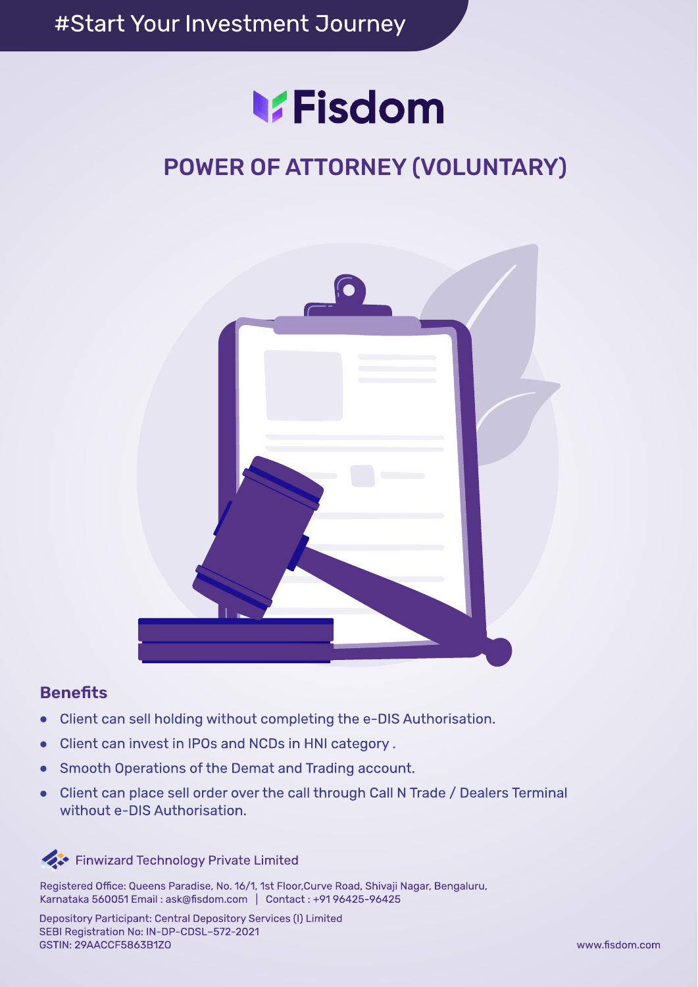# **V.Fisdom**

# **POWER OF ATTORNEY (VOLUNTARY)**



### **Benefits**

- Client can sell holding without completing the e-DIS Authorisation.  $\bullet$
- Client can invest in IPOs and NCDs in HNI category.
- Smooth Operations of the Demat and Trading account.
- Client can place sell order over the call through Call N Trade / Dealers Terminal  $\bullet$ without e-DIS Authorisation.



Registered Office: Queens Paradise, No. 16/1, 1st Floor, Curve Road, Shivaji Nagar, Bengaluru, Karnataka 560051 Email: ask@fisdom.com | Contact: +9196425-96425

Depository Participant: Central Depository Services (I) Limited SEBI Registration No: IN-DP-CDSL-572-2021 **GSTIN: 29AACCF5863B1Z0**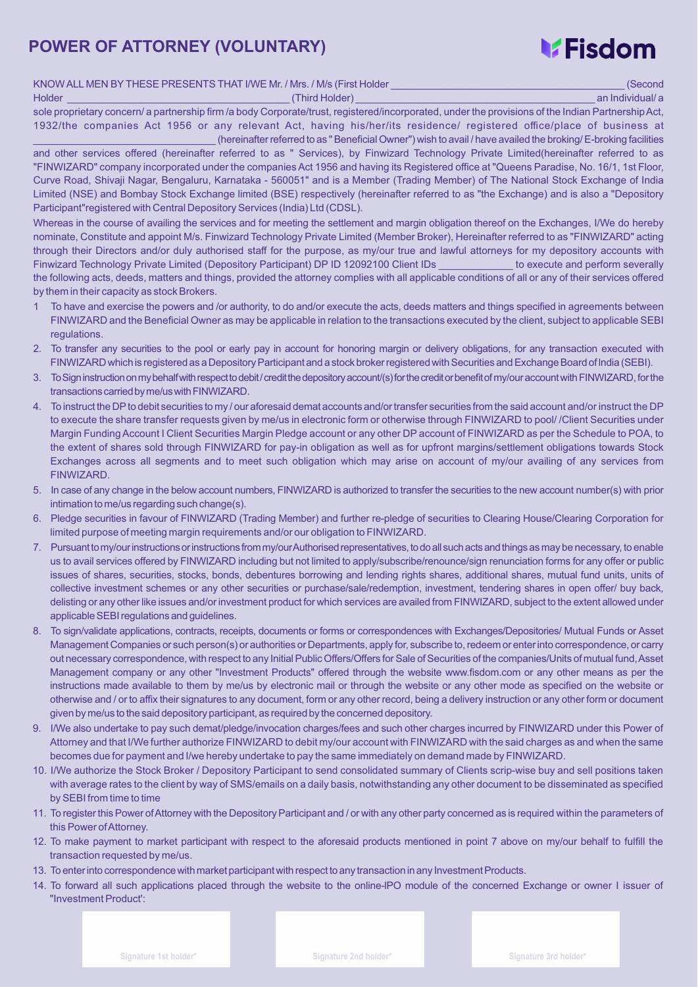### **POWER OF ATTORNEY (VOLUNTARY)**

# **V**Fisdom

| KNOW ALL MEN BY THESE PRESENTS THAT I/WE Mr. / Mrs. / M/s (First Holder |  |  |
|-------------------------------------------------------------------------|--|--|
|-------------------------------------------------------------------------|--|--|

Holder \_\_\_\_\_\_\_\_\_\_\_\_\_\_\_\_\_\_\_\_\_\_\_\_\_\_\_\_\_\_\_\_\_\_\_\_\_\_\_ (Third Holder) \_\_\_\_\_\_\_\_\_\_\_\_\_\_\_\_\_\_\_\_\_\_\_\_\_\_\_\_\_\_\_\_\_\_\_\_\_\_\_\_\_\_ an Individual/ a

sole proprietary concern/ a partnership firm /a body Corporate/trust, registered/incorporated, under the provisions of the Indian Partnership Act, 1932/the companies Act 1956 or any relevant Act, having his/her/its residence/ registered office/place of business at \_\_\_\_\_\_\_\_\_\_\_\_\_\_\_\_\_\_\_\_\_\_\_\_\_\_\_\_\_\_\_\_ (hereinafterreferred to as "BeneficialOwner") wish to avail / have availed the broking/E-broking facilities

and other services offered (hereinafter referred to as " Services), by Finwizard Technology Private Limited(hereinafter referred to as "FINWIZARD" company incorporated under the companies Act 1956 and having its Registered office at "Queens Paradise, No. 16/1, 1st Floor, Curve Road, Shivaji Nagar, Bengaluru, Karnataka - 560051" and is a Member (Trading Member) of The National Stock Exchange of India Limited (NSE) and Bombay Stock Exchange limited (BSE) respectively (hereinafter referred to as "the Exchange) and is also a "Depository Participant"registered with Central Depository Services (India) Ltd (CDSL).

Whereas in the course of availing the services and for meeting the settlement and margin obligation thereof on the Exchanges, I/We do hereby nominate, Constitute and appoint M/s. Finwizard Technology Private Limited (Member Broker), Hereinafter referred to as "FINWIZARD" acting through their Directors and/or duly authorised staff for the purpose, as my/our true and lawful attorneys for my depository accounts with Finwizard Technology Private Limited (Depository Participant) DP ID 12092100 Client IDs to execute and perform severally the following acts, deeds, matters and things, provided the attorney complies with all applicable conditions of all or any of their services offered by them in their capacity as stock Brokers.

- 1 To have and exercise the powers and /or authority, to do and/or execute the acts, deeds matters and things specified in agreements between FINWIZARD and the Beneficial Owner as may be applicable in relation to the transactions executed by the client, subject to applicable SEBI regulations.
- 2. To transfer any securities to the pool or early pay in account for honoring margin or delivery obligations, for any transaction executed with FINWIZARD which is registered as a Depository Participant and a stock broker registered with Securities and Exchange Board of India (SEBI).
- 3. To Sign instruction on my behalf with respect to debit/credit the depository account/(s) for the credit or benefit of my/our account with FINWIZARD, for the transactions carried by me/us with FINWIZARD.
- 4. To instruct the DPto debit securities to my / our aforesaid demat accounts and/ortransfer securities from the said account and/or instruct the DP to execute the share transfer requests given by me/us in electronic form or otherwise through FINWIZARD to pool/ /Client Securities under Margin Funding Account I Client Securities Margin Pledge account or any other DP account of FINWIZARD as per the Schedule to POA, to the extent of shares sold through FINWIZARD for pay-in obligation as well as for upfront margins/settlement obligations towards Stock Exchanges across all segments and to meet such obligation which may arise on account of my/our availing of any services from FINWIZARD.
- 5. In case of any change in the below account numbers, FINWIZARD is authorized to transfer the securities to the new account number(s) with prior intimation to me/us regarding such change(s).
- 6. Pledge securities in favour of FINWIZARD (Trading Member) and further re-pledge of securities to Clearing House/Clearing Corporation for limited purpose of meeting margin requirements and/or our obligation to FINWIZARD.
- 7. Pursuant to my/our instructions or instructions from my/ourAuthorised representatives, to do all such acts and things as may be necessary, to enable us to avail services offered by FINWIZARD including but not limited to apply/subscribe/renounce/sign renunciation forms for any offer or public issues of shares, securities, stocks, bonds, debentures borrowing and lending rights shares, additional shares, mutual fund units, units of collective investment schemes or any other securities or purchase/sale/redemption, investment, tendering shares in open offer/ buy back, delisting or any other like issues and/or investment product for which services are availed from FINWIZARD, subject to the extent allowed under applicable SEBI regulations and guidelines.
- 8. To sign/validate applications, contracts, receipts, documents or forms or correspondences with Exchanges/Depositories/ Mutual Funds or Asset Management Companies or such person(s) or authorities or Departments, apply for, subscribe to,redeem or enterinto correspondence, or carry out necessary correspondence, with respect to any Initial Public Offers/Offers for Sale of Securities of the companies/Units of mutual fund, Asset Management company or any other "Investment Products" offered through the website www.fisdom.com or any other means as per the instructions made available to them by me/us by electronic mail or through the website or any other mode as specified on the website or otherwise and / or to affix their signatures to any document, form or any other record, being a delivery instruction or any other form or document given by me/us to the said depository participant, as required by the concerned depository.
- 9. I/We also undertake to pay such demat/pledge/invocation charges/fees and such other charges incurred by FINWIZARD under this Power of Attorney and that I/We further authorize FINWIZARD to debit my/our account with FINWIZARD with the said charges as and when the same becomes due for payment and I/we hereby undertake to pay the same immediately on demand made by FINWIZARD.
- 10. I/We authorize the Stock Broker / Depository Participant to send consolidated summary of Clients scrip-wise buy and sell positions taken with average rates to the client by way of SMS/emails on a daily basis, notwithstanding any other document to be disseminated as specified by SEBI from time to time
- 11. To register this Power ofAttorney with the Depository Participant and / or with any other party concerned as is required within the parameters of this Power of Attorney.
- 12. To make payment to market participant with respect to the aforesaid products mentioned in point 7 above on my/our behalf to fulfill the transaction requested by me/us.
- 13. To enter into correspondence with market participant with respect to any transaction in any Investment Products.
- 14. To forward all such applications placed through the website to the online-lPO module of the concerned Exchange or owner I issuer of "Investment Product':